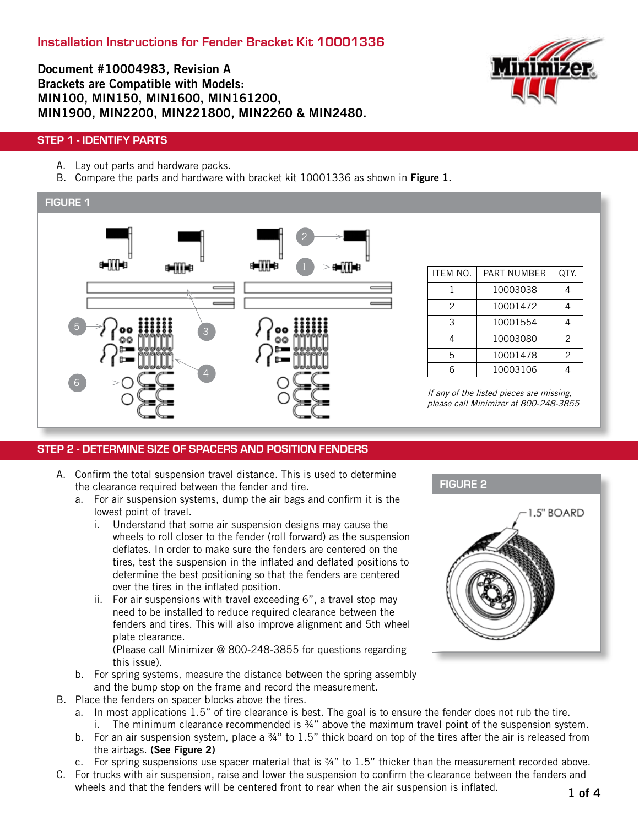## Document #10004983, Revision A Brackets are Compatible with Models: MIN100, MIN150, MIN1600, MIN161200, MIN1900, MIN2200, MIN221800, MIN2260 & MIN2480.



#### STEP 1 - IDENTIFY PARTS

- A. Lay out parts and hardware packs.
- B. Compare the parts and hardware with bracket kit 10001336 as shown in Figure 1.



| ITEM NO. | PART NUMBER | QTY. |
|----------|-------------|------|
|          | 10003038    |      |
| 2        | 10001472    |      |
| 3        | 10001554    |      |
|          | 10003080    | 2    |
| 5        | 10001478    | 2    |
| ĥ        | 10003106    |      |

If any of the listed pieces are missing, please call Minimizer at 800-248-3855

#### STEP 2 - DETERMINE SIZE OF SPACERS AND POSITION FENDERS

- A. Confirm the total suspension travel distance. This is used to determine the clearance required between the fender and tire.
	- a. For air suspension systems, dump the air bags and confirm it is the lowest point of travel.
		- i. Understand that some air suspension designs may cause the wheels to roll closer to the fender (roll forward) as the suspension deflates. In order to make sure the fenders are centered on the tires, test the suspension in the inflated and deflated positions to determine the best positioning so that the fenders are centered over the tires in the inflated position.
		- ii. For air suspensions with travel exceeding 6", a travel stop may need to be installed to reduce required clearance between the fenders and tires. This will also improve alignment and 5th wheel plate clearance.

(Please call Minimizer @ 800-248-3855 for questions regarding this issue).

- b. For spring systems, measure the distance between the spring assembly and the bump stop on the frame and record the measurement.
- B. Place the fenders on spacer blocks above the tires.
	- a. In most applications 1.5" of tire clearance is best. The goal is to ensure the fender does not rub the tire. i. The minimum clearance recommended is  $\frac{3}{4}$ " above the maximum travel point of the suspension system.
	- b. For an air suspension system, place a 34" to 1.5" thick board on top of the tires after the air is released from the airbags. (See Figure 2)
	- c. For spring suspensions use spacer material that is ¾" to 1.5" thicker than the measurement recorded above.
- C. For trucks with air suspension, raise and lower the suspension to confirm the clearance between the fenders and wheels and that the fenders will be centered front to rear when the air suspension is inflated.

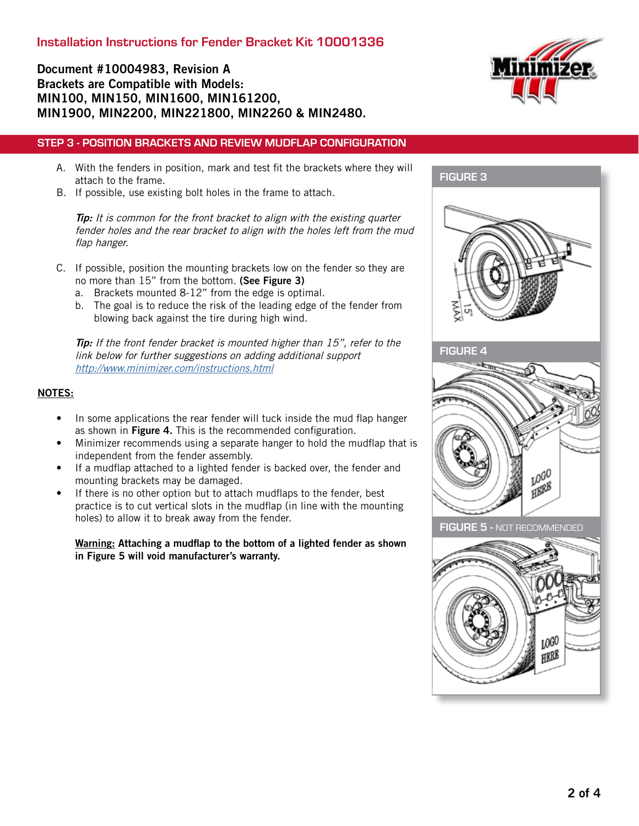## Document #10004983, Revision A Brackets are Compatible with Models: MIN100, MIN150, MIN1600, MIN161200, MIN1900, MIN2200, MIN221800, MIN2260 & MIN2480.

#### STEP 3 - POSITION BRACKETS AND REVIEW MUDFLAP CONFIGURATION

- A. With the fenders in position, mark and test fit the brackets where they will attach to the frame.
- B. If possible, use existing bolt holes in the frame to attach.

Tip: It is common for the front bracket to align with the existing quarter fender holes and the rear bracket to align with the holes left from the mud flap hanger.

- C. If possible, position the mounting brackets low on the fender so they are no more than 15" from the bottom. (See Figure 3)
	- a. Brackets mounted 8-12" from the edge is optimal.
	- b. The goal is to reduce the risk of the leading edge of the fender from blowing back against the tire during high wind.

Tip: If the front fender bracket is mounted higher than 15", refer to the link below for further suggestions on adding additional support <http://www.minimizer.com/instructions.html>

#### NOTES:

- In some applications the rear fender will tuck inside the mud flap hanger as shown in Figure 4. This is the recommended configuration.
- Minimizer recommends using a separate hanger to hold the mudflap that is independent from the fender assembly.
- If a mudflap attached to a lighted fender is backed over, the fender and mounting brackets may be damaged.
- If there is no other option but to attach mudflaps to the fender, best practice is to cut vertical slots in the mudflap (in line with the mounting holes) to allow it to break away from the fender.

Warning: Attaching a mudflap to the bottom of a lighted fender as shown in Figure 5 will void manufacturer's warranty.



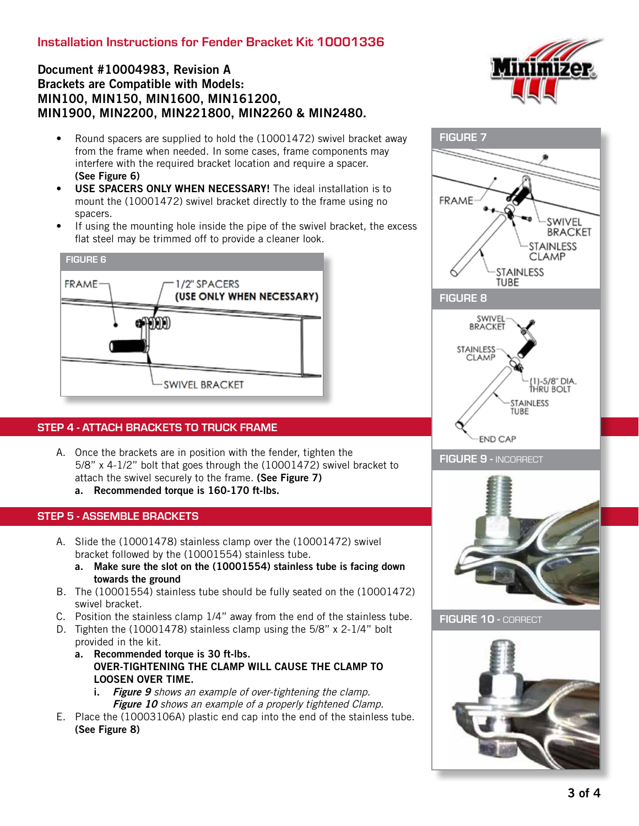# Installation Instructions for Fender Bracket Kit 10001336

## Document #10004983, Revision A Brackets are Compatible with Models: MIN100, MIN150, MIN1600, MIN161200, MIN1900, MIN2200, MIN221800, MIN2260 & MIN2480.

- Round spacers are supplied to hold the (10001472) swivel bracket away from the frame when needed. In some cases, frame components may interfere with the required bracket location and require a spacer. (See Figure 6)
- USE SPACERS ONLY WHEN NECESSARY! The ideal installation is to mount the (10001472) swivel bracket directly to the frame using no spacers.
- If using the mounting hole inside the pipe of the swivel bracket, the excess flat steel may be trimmed off to provide a cleaner look.

![](_page_2_Figure_5.jpeg)

#### STEP 4 - ATTACH BRACKETS TO TRUCK FRAME

- A. Once the brackets are in position with the fender, tighten the 5/8" x 4-1/2" bolt that goes through the (10001472) swivel bracket to attach the swivel securely to the frame. (See Figure 7)
	- a. Recommended torque is 160-170 ft-lbs.

### STEP 5 - ASSEMBLE BRACKETS

- A. Slide the (10001478) stainless clamp over the (10001472) swivel bracket followed by the (10001554) stainless tube.
	- a. Make sure the slot on the (10001554) stainless tube is facing down towards the ground
- B. The (10001554) stainless tube should be fully seated on the (10001472) swivel bracket.
- C. Position the stainless clamp 1/4" away from the end of the stainless tube. D. Tighten the (10001478) stainless clamp using the 5/8" x 2-1/4" bolt
- provided in the kit.
	- a. Recommended torque is 30 ft-lbs. OVER-TIGHTENING THE CLAMP WILL CAUSE THE CLAMP TO LOOSEN OVER TIME.
		- i. Figure 9 shows an example of over-tightening the clamp. Figure 10 shows an example of a properly tightened Clamp.
- E. Place the (10003106A) plastic end cap into the end of the stainless tube. (See Figure 8)

![](_page_2_Picture_18.jpeg)

![](_page_2_Figure_19.jpeg)